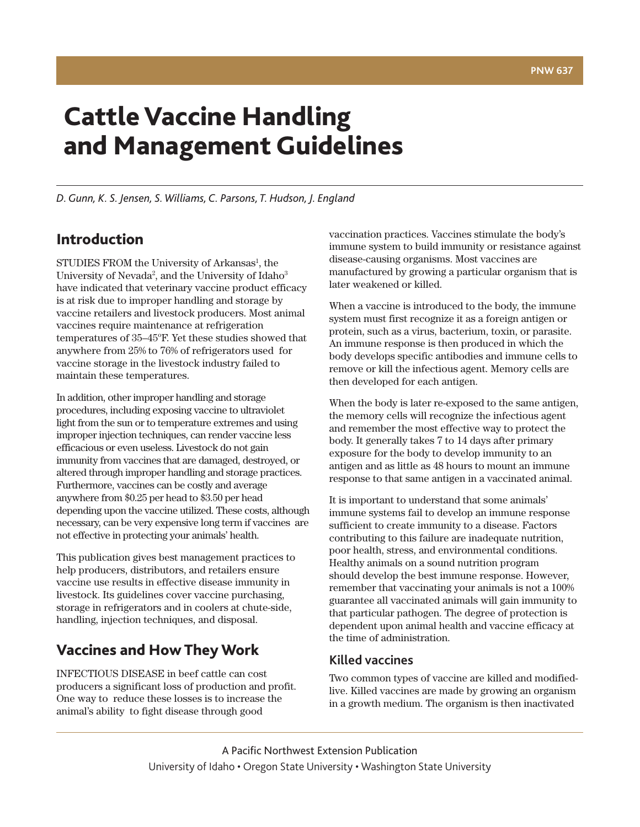# **Cattle Vaccine Handling and Management Guidelines**

*D.Gunn, K. S. Jensen, S. Williams,C. Parsons, T. Hudson, J. England*

# **Introduction**

STUDIES FROM the University of Arkansas<sup>1</sup>, the University of Nevada<sup>2</sup>, and the University of Idaho<sup>3</sup> have indicated that veterinary vaccine product efficacy is at risk due to improper handling and storage by vaccine retailers and livestock producers. Most animal vaccines require maintenance at refrigeration temperatures of 35-45°F. Yet these studies showed that anywhere from 25% to 76% of refrigerators used for vaccine storage in the livestock industry failed to maintain these temperatures.

In addition, other improper handling and storage procedures, including exposing vaccine to ultraviolet light from the sun or to temperature extremes and using improper injection techniques, can render vaccine less efficacious or even useless. Livestock do not gain immunity from vaccines that are damaged, destroyed, or altered through improper handling and storage practices. Furthermore, vaccines can be costly and average anywhere from \$0.25 per head to \$3.50 per head depending upon the vaccine utilized. These costs, although necessary, can be very expensive long term if vaccines are not effective in protecting your animals' health.

This publication gives best management practices to help producers, distributors, and retailers ensure vaccine use results in effective disease immunity in livestock. Its guidelines cover vaccine purchasing, storage in refrigerators and in coolers at chute-side, handling, injection techniques, and disposal.

# **Vaccines and How They Work**

INFECTIOUS DISEASE in beef cattle can cost producers a significant loss of production and profit. One way to reduce these losses is to increase the animal's ability to fight disease through good

vaccination practices. Vaccines stimulate the body's immune system to build immunity or resistance against disease-causing organisms. Most vaccines are manufactured by growing a particular organism that is later weakened or killed.

When a vaccine is introduced to the body, the immune system must first recognize it as a foreign antigen or protein, such as a virus, bacterium, toxin, or parasite. An immune response is then produced in which the body develops specific antibodies and immune cells to remove or kill the infectious agent. Memory cells are then developed for each antigen.

When the body is later re-exposed to the same antigen, the memory cells will recognize the infectious agent and remember the most effective way to protect the body. It generally takes 7 to 14 days after primary exposure for the body to develop immunity to an antigen and as little as 48 hours to mount an immune response to that same antigen in a vaccinated animal.

It is important to understand that some animals' immune systems fail to develop an immune response sufficient to create immunity to a disease. Factors contributing to this failure are inadequate nutrition, poor health, stress, and environmental conditions. Healthy animals on a sound nutrition program should develop the best immune response. However, remember that vaccinating your animals is not a 100% guarantee all vaccinated animals will gain immunity to that particular pathogen. The degree of protection is dependent upon animal health and vaccine efficacy at the time of administration.

### **Killed vaccines**

Two common types of vaccine are killed and modifiedlive. Killed vaccines are made by growing an organism in a growth medium. The organism is then inactivated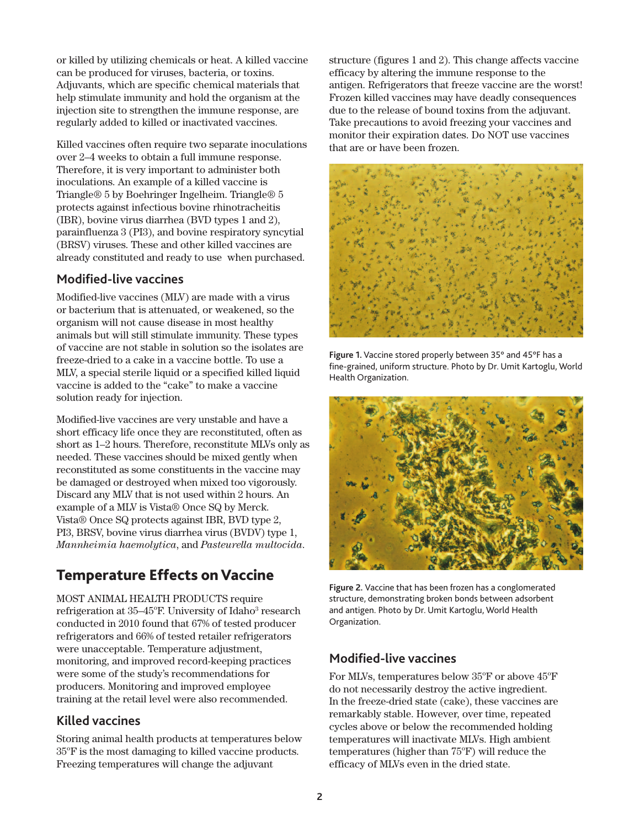or killed by utilizing chemicals or heat. A killed vaccine can be produced for viruses, bacteria, or toxins. Adjuvants, which are specific chemical materials that help stimulate immunity and hold the organism at the injection site to strengthen the immune response, are regularly added to killed or inactivated vaccines.

Killed vaccines often require two separate inoculations over 2–4 weeks to obtain a full immune response. Therefore, it is very important to administer both inoculations. An example of a killed vaccine is Triangle® 5 by Boehringer Ingelheim. Triangle® 5 protects against infectious bovine rhinotracheitis (IBR), bovine virus diarrhea (BVD types 1 and 2), parainfluenza 3 (PI3), and bovine respiratory syncytial (BRSV) viruses. These and other killed vaccines are already constituted and ready to use when purchased.

#### **Modified-live vaccines**

Modified-live vaccines (MLV) are made with a virus or bacterium that is attenuated, or weakened, so the organism will not cause disease in most healthy animals but will still stimulate immunity. These types of vaccine are not stable in solution so the isolates are freeze-dried to a cake in a vaccine bottle. To use a MLV, a special sterile liquid or a specified killed liquid vaccine is added to the "cake" to make a vaccine solution ready for injection.

Modified-live vaccines are very unstable and have a short efficacy life once they are reconstituted, often as short as 1–2 hours. Therefore, reconstitute MLVs only as needed. These vaccines should be mixed gently when reconstituted as some constituents in the vaccine may be damaged or destroyed when mixed too vigorously. Discard any MLV that is not used within 2 hours. An example of a MLV is Vista® Once SQ by Merck. Vista® Once SQ protects against IBR, BVD type 2, PI3, BRSV, bovine virus diarrhea virus (BVDV) type 1, *Mannheimia haemolytica*, and *Pasteurella multocida*.

# **Temperature Effects on Vaccine**

MOST ANIMAL HEALTH PRODUCTS require refrigeration at 35-45°F. University of Idaho<sup>3</sup> research conducted in 2010 found that 67% of tested producer refrigerators and 66% of tested retailer refrigerators were unacceptable. Temperature adjustment, monitoring, and improved record-keeping practices were some of the study's recommendations for producers. Monitoring and improved employee training at the retail level were also recommended.

### **Killed vaccines**

Storing animal health products at temperatures below 35°F is the most damaging to killed vaccine products. Freezing temperatures will change the adjuvant

structure (figures 1 and 2). This change affects vaccine efficacy by altering the immune response to the antigen. Refrigerators that freeze vaccine are the worst! Frozen killed vaccines may have deadly consequences due to the release of bound toxins from the adjuvant. Take precautions to avoid freezing your vaccines and monitor their expiration dates. Do NOT use vaccines that are or have been frozen.



**Figure 1.** Vaccine stored properly between 35° and 45°F has a fine-grained, uniform structure. Photo by Dr. Umit Kartoglu, World Health Organization.



**Figure 2.** Vaccine that has been frozen has a conglomerated structure, demonstrating broken bonds between adsorbent and antigen. Photo by Dr. Umit Kartoglu, World Health Organization.

### **Modified-live vaccines**

For MLVs, temperatures below 35°F or above 45°F do not necessarily destroy the active ingredient. In the freeze-dried state (cake), these vaccines are remarkably stable. However, over time, repeated cycles above or below the recommended holding temperatures will inactivate MLVs. High ambient temperatures (higher than 75°F) will reduce the efficacy of MLVs even in the dried state.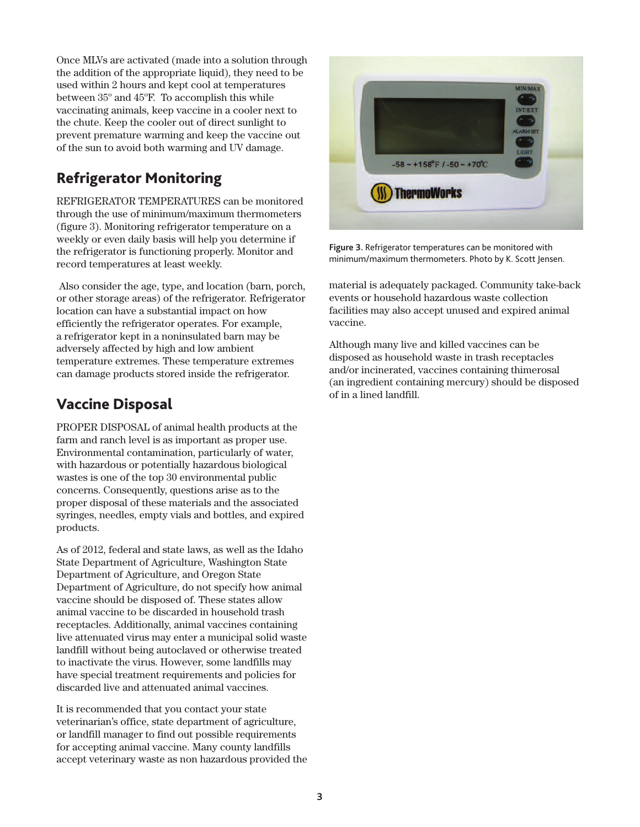Once MLVs are activated (made into a solution through the addition of the appropriate liquid), they need to be used within 2 hours and kept cool at temperatures between 35° and 45°F. To accomplish this while vaccinating animals, keep vaccine in a cooler next to the chute. Keep the cooler out of direct sunlight to prevent premature warming and keep the vaccine out of the sun to avoid both warming and UV damage.

# **Refrigerator Monitoring**

REFRIGERATOR TEMPERATURES can be monitored through the use of minimum/maximum thermometers (figure 3). Monitoring refrigerator temperature on a weekly or even daily basis will help you determine if the refrigerator is functioning properly. Monitor and record temperatures at least weekly.

Also consider the age, type, and location (barn, porch, or other storage areas) of the refrigerator. Refrigerator location can have a substantial impact on how efficiently the refrigerator operates. For example, a refrigerator kept in a noninsulated barn may be adversely affected by high and low ambient temperature extremes. These temperature extremes can damage products stored inside the refrigerator.

# **Vaccine Disposal**

PROPER DISPOSAL of animal health products at the farm and ranch level is as important as proper use. Environmental contamination, particularly of water, with hazardous or potentially hazardous biological wastes is one of the top 30 environmental public concerns. Consequently, questions arise as to the proper disposal of these materials and the associated syringes, needles, empty vials and bottles, and expired products.

As of 2012, federal and state laws, as well as the Idaho State Department of Agriculture, Washington State Department of Agriculture, and Oregon State Department of Agriculture, do not specify how animal vaccine should be disposed of. These states allow animal vaccine to be discarded in household trash receptacles. Additionally, animal vaccines containing live attenuated virus may enter a municipal solid waste landfill without being autoclaved or otherwise treated to inactivate the virus. However, some landfills may have special treatment requirements and policies for discarded live and attenuated animal vaccines.

It is recommended that you contact your state veterinarian's office, state department of agriculture, or landfill manager to find out possible requirements for accepting animal vaccine. Many county landfills accept veterinary waste as non hazardous provided the



**Figure 3.** Refrigerator temperatures can be monitored with minimum/maximum thermometers. Photo by K. Scott Jensen.

material is adequately packaged. Community take-back events or household hazardous waste collection facilities may also accept unused and expired animal vaccine.

Although many live and killed vaccines can be disposed as household waste in trash receptacles and/or incinerated, vaccines containing thimerosal (an ingredient containing mercury) should be disposed of in a lined landfill.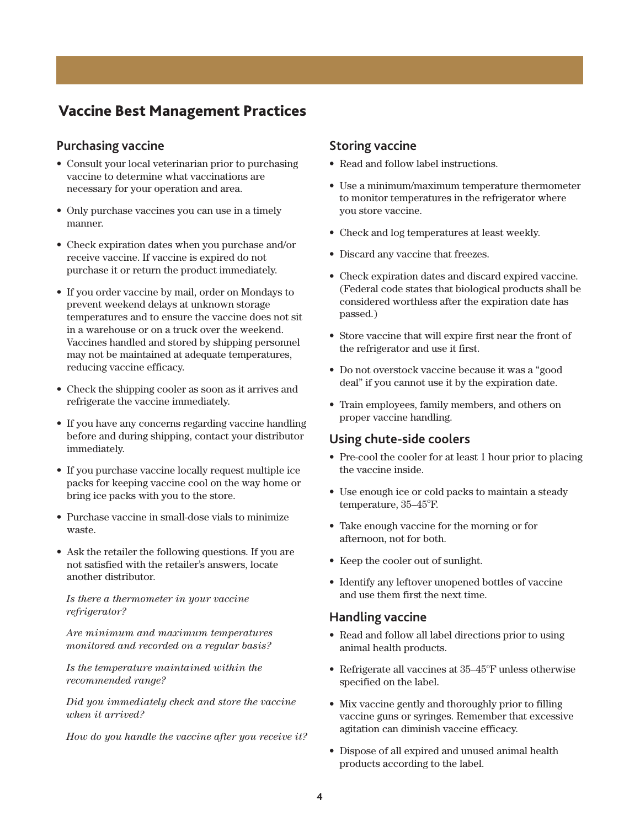## **Vaccine Best Management Practices**

#### **Purchasing vaccine**

- Consult your local veterinarian prior to purchasing vaccine to determine what vaccinations are necessary for your operation and area.
- Only purchase vaccines you can use in a timely manner.
- Check expiration dates when you purchase and/or receive vaccine. If vaccine is expired do not purchase it or return the product immediately.
- If you order vaccine by mail, order on Mondays to prevent weekend delays at unknown storage temperatures and to ensure the vaccine does not sit in a warehouse or on a truck over the weekend. Vaccines handled and stored by shipping personnel may not be maintained at adequate temperatures, reducing vaccine efficacy.
- Check the shipping cooler as soon as it arrives and refrigerate the vaccine immediately.
- If you have any concerns regarding vaccine handling before and during shipping, contact your distributor immediately.
- If you purchase vaccine locally request multiple ice packs for keeping vaccine cool on the way home or bring ice packs with you to the store.
- Purchase vaccine in small-dose vials to minimize waste.
- Ask the retailer the following questions. If you are not satisfied with the retailer's answers, locate another distributor.

#### *Is there a thermometer in your vaccine refrigerator?*

*Are minimum and maximum temperatures monitored and recorded on a regular basis?*

*Is the temperature maintained within the recommended range?*

*Did you immediately check and store the vaccine when it arrived?*

*How do you handle the vaccine after you receive it?*

#### **Storing vaccine**

- Read and follow label instructions.
- Use a minimum/maximum temperature thermometer to monitor temperatures in the refrigerator where you store vaccine.
- Check and log temperatures at least weekly.
- Discard any vaccine that freezes.
- Check expiration dates and discard expired vaccine. (Federal code states that biological products shall be considered worthless after the expiration date has passed.)
- Store vaccine that will expire first near the front of the refrigerator and use it first.
- Do not overstock vaccine because it was a "good deal" if you cannot use it by the expiration date.
- Train employees, family members, and others on proper vaccine handling.

#### **Using chute-side coolers**

- Pre-cool the cooler for at least 1 hour prior to placing the vaccine inside.
- Use enough ice or cold packs to maintain a steady temperature, 35-45°F.
- Take enough vaccine for the morning or for afternoon, not for both.
- Keep the cooler out of sunlight.
- Identify any leftover unopened bottles of vaccine and use them first the next time.

#### **Handling vaccine**

- Read and follow all label directions prior to using animal health products.
- $\bullet$  Refrigerate all vaccines at  $35-45^{\circ}$ F unless otherwise specified on the label.
- Mix vaccine gently and thoroughly prior to filling vaccine guns or syringes. Remember that excessive agitation can diminish vaccine efficacy.
- Dispose of all expired and unused animal health products according to the label.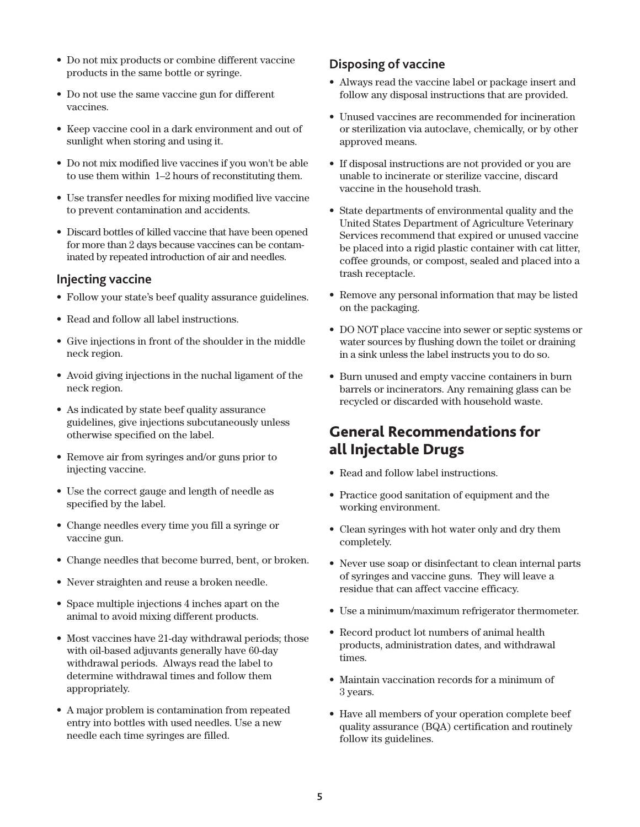- Do not mix products or combine different vaccine products in the same bottle or syringe.
- Do not use the same vaccine gun for different vaccines.
- Keep vaccine cool in a dark environment and out of sunlight when storing and using it.
- Do not mix modified live vaccines if you won't be able to use them within 1–2 hours of reconstituting them.
- Use transfer needles for mixing modified live vaccine to prevent contamination and accidents.
- Discard bottles of killed vaccine that have been opened for more than 2 days because vaccines can be contaminated by repeated introduction of air and needles.

### **Injecting vaccine**

- Follow your state's beef quality assurance guidelines.
- Read and follow all label instructions.
- Give injections in front of the shoulder in the middle neck region.
- Avoid giving injections in the nuchal ligament of the neck region.
- As indicated by state beef quality assurance guidelines, give injections subcutaneously unless otherwise specified on the label.
- Remove air from syringes and/or guns prior to injecting vaccine.
- Use the correct gauge and length of needle as specified by the label.
- Change needles every time you fill a syringe or vaccine gun.
- Change needles that become burred, bent, or broken.
- Never straighten and reuse a broken needle.
- Space multiple injections 4 inches apart on the animal to avoid mixing different products.
- Most vaccines have 21-day withdrawal periods; those with oil-based adjuvants generally have 60-day withdrawal periods. Always read the label to determine withdrawal times and follow them appropriately.
- A major problem is contamination from repeated entry into bottles with used needles. Use a new needle each time syringes are filled.

### **Disposing of vaccine**

- Always read the vaccine label or package insert and follow any disposal instructions that are provided.
- Unused vaccines are recommended for incineration or sterilization via autoclave, chemically, or by other approved means.
- If disposal instructions are not provided or you are unable to incinerate or sterilize vaccine, discard vaccine in the household trash.
- State departments of environmental quality and the United States Department of Agriculture Veterinary Services recommend that expired or unused vaccine be placed into a rigid plastic container with cat litter, coffee grounds, or compost, sealed and placed into a trash receptacle.
- Remove any personal information that may be listed on the packaging.
- DO NOT place vaccine into sewer or septic systems or water sources by flushing down the toilet or draining in a sink unless the label instructs you to do so.
- Burn unused and empty vaccine containers in burn barrels or incinerators. Any remaining glass can be recycled or discarded with household waste.

# **General Recommendations for all Injectable Drugs**

- Read and follow label instructions.
- Practice good sanitation of equipment and the working environment.
- Clean syringes with hot water only and dry them completely.
- Never use soap or disinfectant to clean internal parts of syringes and vaccine guns. They will leave a residue that can affect vaccine efficacy.
- Use a minimum/maximum refrigerator thermometer.
- Record product lot numbers of animal health products, administration dates, and withdrawal times.
- Maintain vaccination records for a minimum of 3 years.
- Have all members of your operation complete beef quality assurance (BQA) certification and routinely follow its guidelines.